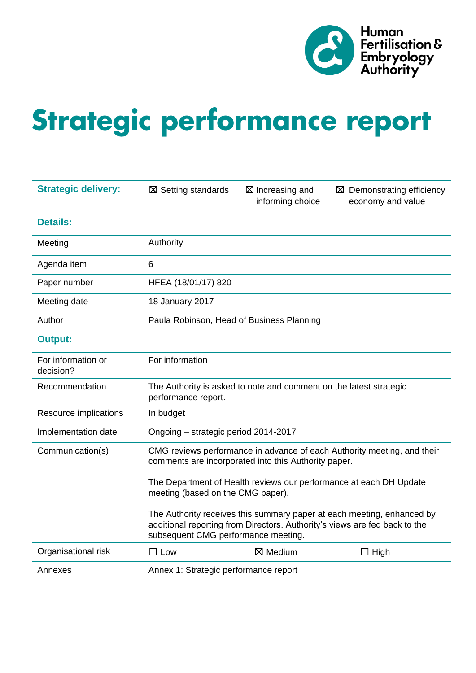

# Strategic performance report

| <b>Strategic delivery:</b>      | $\boxtimes$ Setting standards                                                                                                   | $\boxtimes$ Increasing and<br>informing choice | $\boxtimes$ Demonstrating efficiency<br>economy and value                                                                                            |  |  |  |  |  |
|---------------------------------|---------------------------------------------------------------------------------------------------------------------------------|------------------------------------------------|------------------------------------------------------------------------------------------------------------------------------------------------------|--|--|--|--|--|
| <b>Details:</b>                 |                                                                                                                                 |                                                |                                                                                                                                                      |  |  |  |  |  |
| Meeting                         | Authority                                                                                                                       |                                                |                                                                                                                                                      |  |  |  |  |  |
| Agenda item                     | 6                                                                                                                               |                                                |                                                                                                                                                      |  |  |  |  |  |
| Paper number                    | HFEA (18/01/17) 820                                                                                                             |                                                |                                                                                                                                                      |  |  |  |  |  |
| Meeting date                    | 18 January 2017                                                                                                                 |                                                |                                                                                                                                                      |  |  |  |  |  |
| Author                          | Paula Robinson, Head of Business Planning                                                                                       |                                                |                                                                                                                                                      |  |  |  |  |  |
| <b>Output:</b>                  |                                                                                                                                 |                                                |                                                                                                                                                      |  |  |  |  |  |
| For information or<br>decision? | For information                                                                                                                 |                                                |                                                                                                                                                      |  |  |  |  |  |
| Recommendation                  | The Authority is asked to note and comment on the latest strategic<br>performance report.                                       |                                                |                                                                                                                                                      |  |  |  |  |  |
| Resource implications           | In budget                                                                                                                       |                                                |                                                                                                                                                      |  |  |  |  |  |
| Implementation date             | Ongoing - strategic period 2014-2017                                                                                            |                                                |                                                                                                                                                      |  |  |  |  |  |
| Communication(s)                | CMG reviews performance in advance of each Authority meeting, and their<br>comments are incorporated into this Authority paper. |                                                |                                                                                                                                                      |  |  |  |  |  |
|                                 | meeting (based on the CMG paper).                                                                                               |                                                | The Department of Health reviews our performance at each DH Update                                                                                   |  |  |  |  |  |
|                                 | subsequent CMG performance meeting.                                                                                             |                                                | The Authority receives this summary paper at each meeting, enhanced by<br>additional reporting from Directors. Authority's views are fed back to the |  |  |  |  |  |
| Organisational risk             | $\square$ Low                                                                                                                   | $\boxtimes$ Medium                             | $\Box$ High                                                                                                                                          |  |  |  |  |  |
| Annexes                         | Annex 1: Strategic performance report                                                                                           |                                                |                                                                                                                                                      |  |  |  |  |  |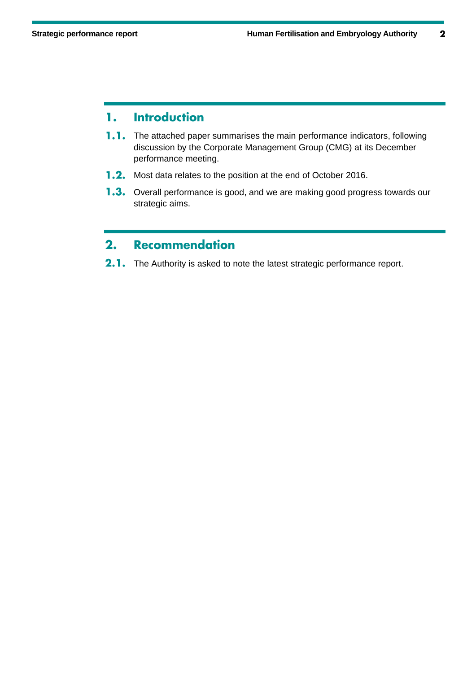#### **Introduction** 1.

- **1.1.** The attached paper summarises the main performance indicators, following discussion by the Corporate Management Group (CMG) at its December performance meeting.
- **1.2.** Most data relates to the position at the end of October 2016.
- 1.3. Overall performance is good, and we are making good progress towards our strategic aims.

#### $2.$ **Recommendation**

2.1. The Authority is asked to note the latest strategic performance report.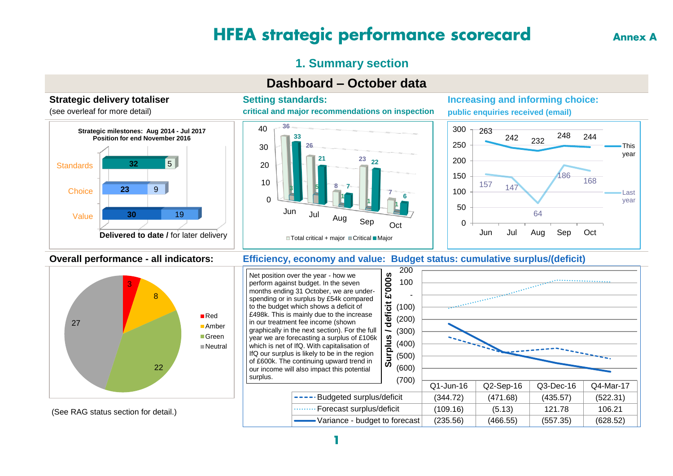## **HFEA strategic performance scorecard**

**Annex A** 

## **1. Summary section**

## **Dashboard – October data**

#### **Strategic delivery totaliser**

(see overleaf for more detail)



#### **Setting standards:**

**critical and major recommendations on inspection**



#### **Increasing and informing choice: public enquiries received (email)**



#### **Overall performance - all indicators: Efficiency, economy and value: Budget status: cumulative surplus/(deficit)**



Net position over the year - how we perform against budget. In the seven months ending 31 October, we are underspending or in surplus by £54k compared to the budget which shows a deficit of £498k. This is mainly due to the increase in our treatment fee income (shown graphically in the next section). For the full year we are forecasting a surplus of £106k which is net of IfQ. With capitalisation of IfQ our surplus is likely to be in the region of £600k. The continuing upward trend in our income will also impact this potential surplus.



Variance - budget to forecast (235.56) (466.55) (557.35) (628.52)

#### (See RAG status section for detail.)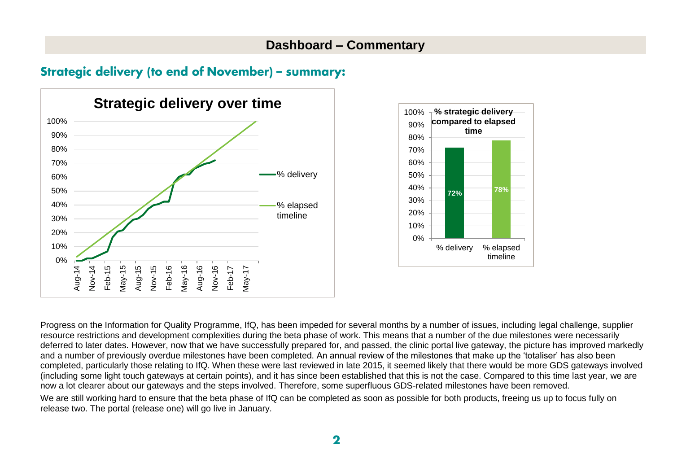## **Dashboard – Commentary**

## **Strategic delivery (to end of November) - summary:**





Progress on the Information for Quality Programme, IfQ, has been impeded for several months by a number of issues, including legal challenge, supplier resource restrictions and development complexities during the beta phase of work. This means that a number of the due milestones were necessarily deferred to later dates. However, now that we have successfully prepared for, and passed, the clinic portal live gateway, the picture has improved markedly and a number of previously overdue milestones have been completed. An annual review of the milestones that make up the 'totaliser' has also been completed, particularly those relating to IfQ. When these were last reviewed in late 2015, it seemed likely that there would be more GDS gateways involved (including some light touch gateways at certain points), and it has since been established that this is not the case. Compared to this time last year, we are now a lot clearer about our gateways and the steps involved. Therefore, some superfluous GDS-related milestones have been removed. We are still working hard to ensure that the beta phase of IfQ can be completed as soon as possible for both products, freeing us up to focus fully on

release two. The portal (release one) will go live in January.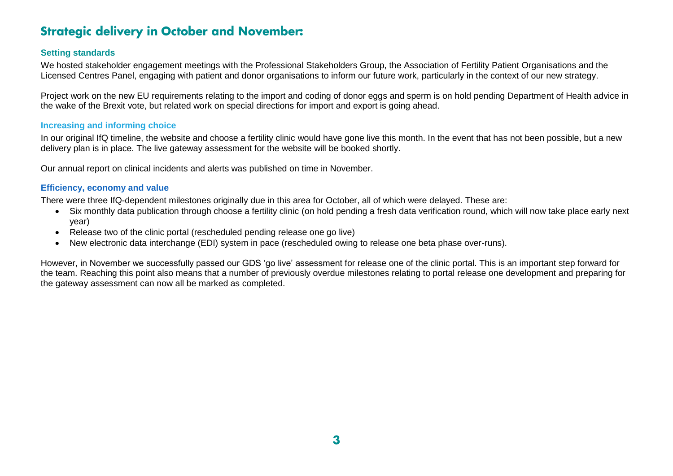## **Strategic delivery in October and November:**

#### **Setting standards**

We hosted stakeholder engagement meetings with the Professional Stakeholders Group, the Association of Fertility Patient Organisations and the Licensed Centres Panel, engaging with patient and donor organisations to inform our future work, particularly in the context of our new strategy.

Project work on the new EU requirements relating to the import and coding of donor eggs and sperm is on hold pending Department of Health advice in the wake of the Brexit vote, but related work on special directions for import and export is going ahead.

#### **Increasing and informing choice**

In our original IfQ timeline, the website and choose a fertility clinic would have gone live this month. In the event that has not been possible, but a new delivery plan is in place. The live gateway assessment for the website will be booked shortly.

Our annual report on clinical incidents and alerts was published on time in November.

#### **Efficiency, economy and value**

There were three IfQ-dependent milestones originally due in this area for October, all of which were delayed. These are:

- Six monthly data publication through choose a fertility clinic (on hold pending a fresh data verification round, which will now take place early next year)
- Release two of the clinic portal (rescheduled pending release one go live)
- New electronic data interchange (EDI) system in pace (rescheduled owing to release one beta phase over-runs).

However, in November we successfully passed our GDS 'go live' assessment for release one of the clinic portal. This is an important step forward for the team. Reaching this point also means that a number of previously overdue milestones relating to portal release one development and preparing for the gateway assessment can now all be marked as completed.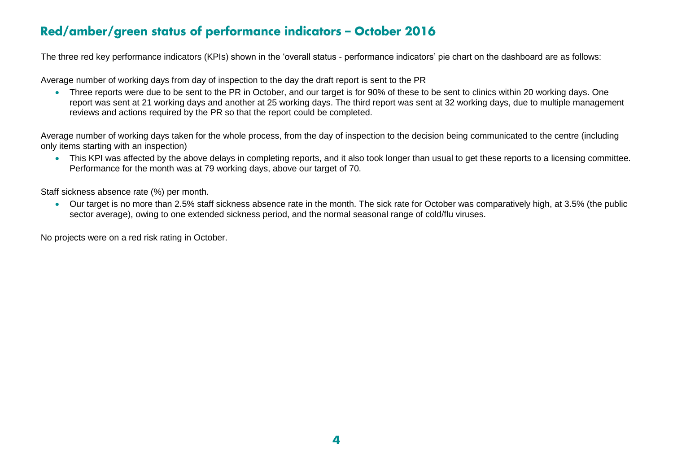## Red/amber/green status of performance indicators - October 2016

The three red key performance indicators (KPIs) shown in the 'overall status - performance indicators' pie chart on the dashboard are as follows:

Average number of working days from day of inspection to the day the draft report is sent to the PR

• Three reports were due to be sent to the PR in October, and our target is for 90% of these to be sent to clinics within 20 working days. One report was sent at 21 working days and another at 25 working days. The third report was sent at 32 working days, due to multiple management reviews and actions required by the PR so that the report could be completed.

Average number of working days taken for the whole process, from the day of inspection to the decision being communicated to the centre (including only items starting with an inspection)

 This KPI was affected by the above delays in completing reports, and it also took longer than usual to get these reports to a licensing committee. Performance for the month was at 79 working days, above our target of 70.

Staff sickness absence rate (%) per month.

 Our target is no more than 2.5% staff sickness absence rate in the month. The sick rate for October was comparatively high, at 3.5% (the public sector average), owing to one extended sickness period, and the normal seasonal range of cold/flu viruses.

No projects were on a red risk rating in October.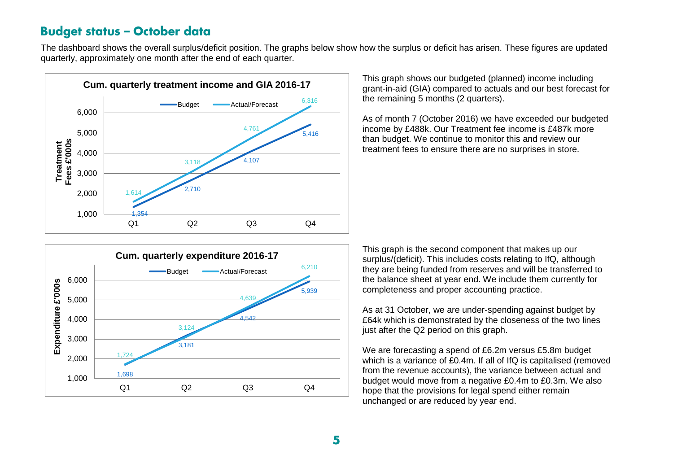## **Budget status - October data**

The dashboard shows the overall surplus/deficit position. The graphs below show how the surplus or deficit has arisen. These figures are updated quarterly, approximately one month after the end of each quarter.



This graph shows our budgeted (planned) income including grant-in-aid (GIA) compared to actuals and our best forecast for the remaining 5 months (2 quarters).

As of month 7 (October 2016) we have exceeded our budgeted income by £488k. Our Treatment fee income is £487k more than budget. We continue to monitor this and review our treatment fees to ensure there are no surprises in store.



This graph is the second component that makes up our surplus/(deficit). This includes costs relating to IfQ, although they are being funded from reserves and will be transferred to the balance sheet at year end. We include them currently for completeness and proper accounting practice.

As at 31 October, we are under-spending against budget by £64k which is demonstrated by the closeness of the two lines just after the Q2 period on this graph.

We are forecasting a spend of £6.2m versus £5.8m budget which is a variance of £0.4m. If all of IfQ is capitalised (removed from the revenue accounts), the variance between actual and budget would move from a negative £0.4m to £0.3m. We also hope that the provisions for legal spend either remain unchanged or are reduced by year end.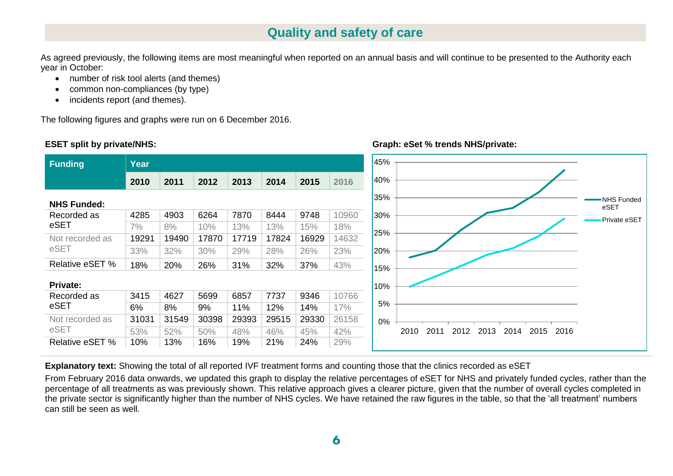## **Quality and safety of care**

As agreed previously, the following items are most meaningful when reported on an annual basis and will continue to be presented to the Authority each year in October:

- number of risk tool alerts (and themes)
- common non-compliances (by type)
- incidents report (and themes).

The following figures and graphs were run on 6 December 2016.

#### **ESET split by private/NHS:**



**Graph: eSet % trends NHS/private:**

**Explanatory text:** Showing the total of all reported IVF treatment forms and counting those that the clinics recorded as eSET

From February 2016 data onwards, we updated this graph to display the relative percentages of eSET for NHS and privately funded cycles, rather than the percentage of all treatments as was previously shown. This relative approach gives a clearer picture, given that the number of overall cycles completed in the private sector is significantly higher than the number of NHS cycles. We have retained the raw figures in the table, so that the 'all treatment' numbers can still be seen as well.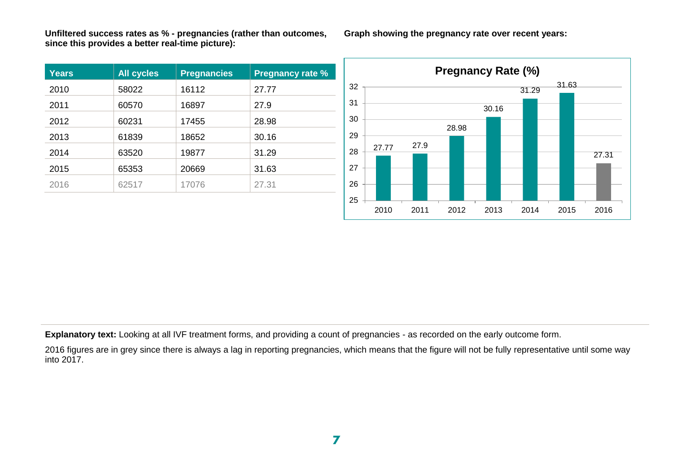**Unfiltered success rates as % - pregnancies (rather than outcomes, since this provides a better real-time picture):**

| <b>Years</b> | <b>All cycles</b> | <b>Pregnancies</b> | <b>Pregnancy rate %</b> |
|--------------|-------------------|--------------------|-------------------------|
| 2010         | 58022             | 16112              | 27.77                   |
| 2011         | 60570             | 16897              | 27.9                    |
| 2012         | 60231             | 17455              | 28.98                   |
| 2013         | 61839             | 18652              | 30.16                   |
| 2014         | 63520             | 19877              | 31.29                   |
| 2015         | 65353             | 20669              | 31.63                   |
| 2016         | 62517             | 17076              | 27.31                   |

27.77 27.9 28.98 30.16 31.29 31.63 27.31 27 28 29 30 31 32 **Pregnancy Rate (%)**

2010 2011 2012 2013 2014 2015 2016

**Explanatory text:** Looking at all IVF treatment forms, and providing a count of pregnancies - as recorded on the early outcome form.

2016 figures are in grey since there is always a lag in reporting pregnancies, which means that the figure will not be fully representative until some way  $into 2017.$ 

25 26

**Graph showing the pregnancy rate over recent years:**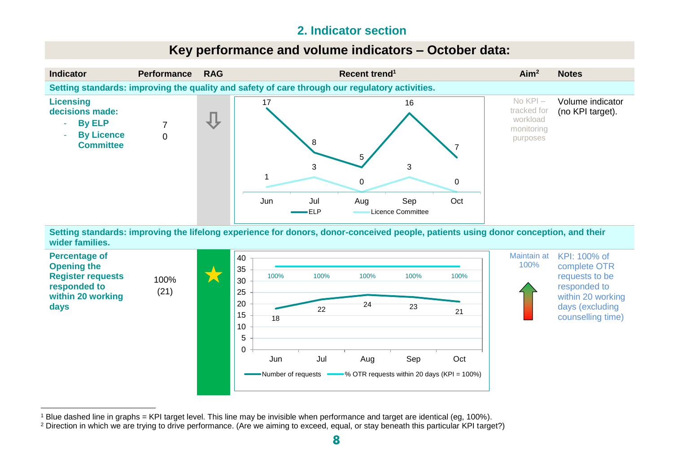## **2. Indicator section**

## **Key performance and volume indicators – October data:**



**Setting standards: improving the lifelong experience for donors, donor-conceived people, patients using donor conception, and their wider families.**



 <sup>1</sup> Blue dashed line in graphs = KPI target level. This line may be invisible when performance and target are identical (eg, 100%).

<sup>&</sup>lt;sup>2</sup> Direction in which we are trying to drive performance. (Are we aiming to exceed, equal, or stay beneath this particular KPI target?)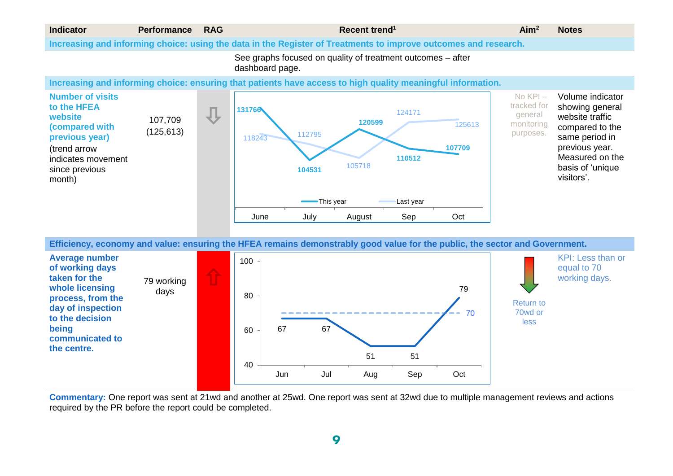

**Efficiency, economy and value: ensuring the HFEA remains demonstrably good value for the public, the sector and Government.**



**Commentary:** One report was sent at 21wd and another at 25wd. One report was sent at 32wd due to multiple management reviews and actions required by the PR before the report could be completed.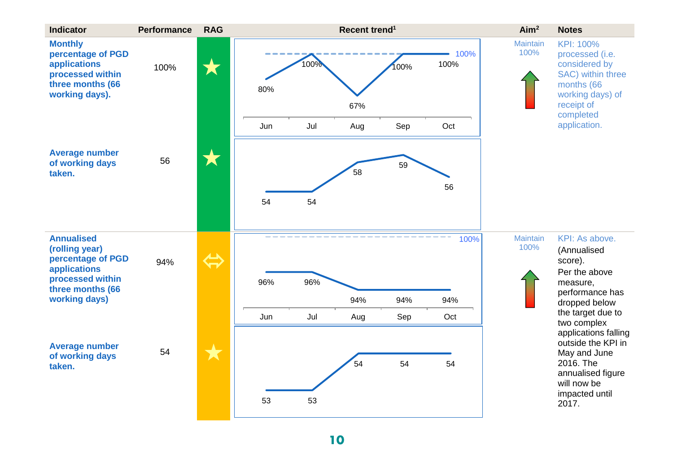| KPI: 100%<br>processed (i.e.<br>considered by<br>SAC) within three<br>months (66<br>working days) of<br>receipt of<br>completed<br>application. |
|-------------------------------------------------------------------------------------------------------------------------------------------------|
|                                                                                                                                                 |
|                                                                                                                                                 |
|                                                                                                                                                 |
|                                                                                                                                                 |
| KPI: As above.<br>(Annualised<br>score).<br>Per the above                                                                                       |
| measure,<br>performance has<br>dropped below                                                                                                    |
| the target due to<br>two complex                                                                                                                |
| applications falling<br>outside the KPI in<br>May and June<br>2016. The<br>annualised figure<br>will now be<br>impacted until<br>2017.          |
|                                                                                                                                                 |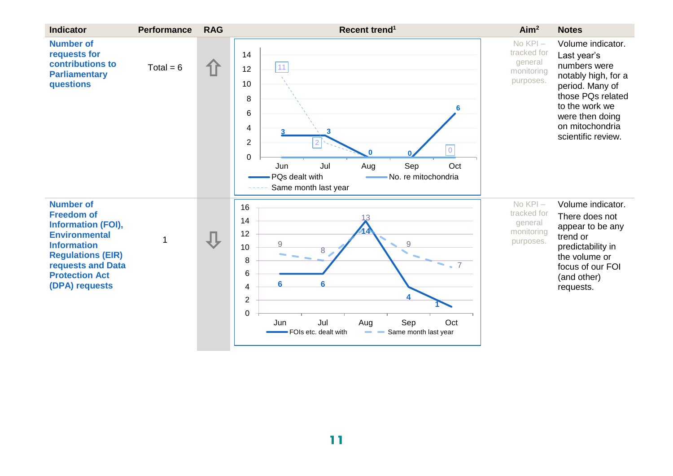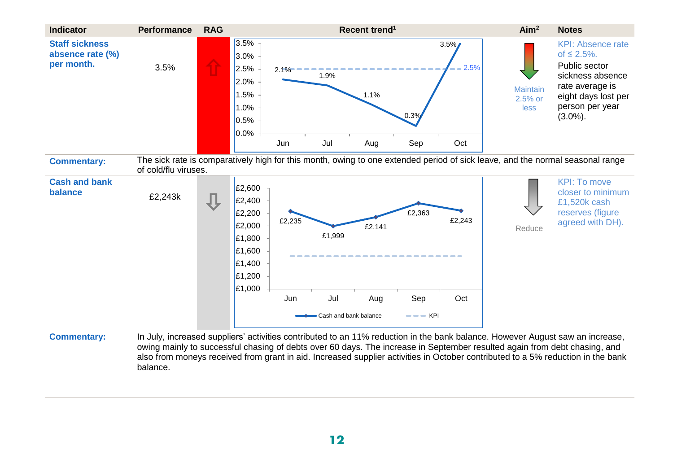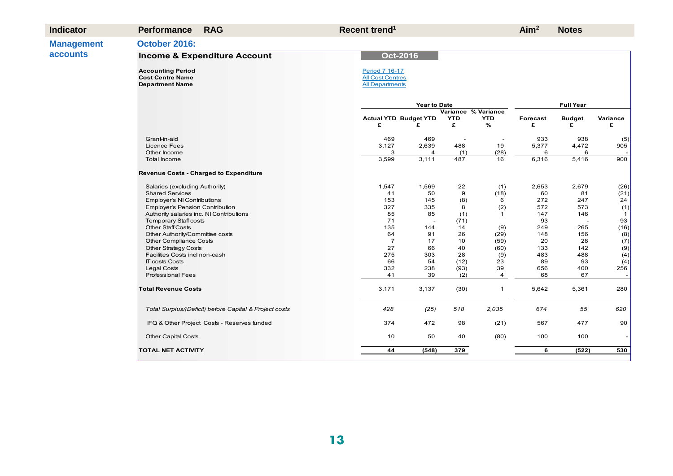| <b>Indicator</b>  | <b>Performance</b>                                                            | <b>RAG</b>                                             | Recent trend <sup>1</sup>                                           |                              |                     |              | Aim <sup>2</sup> | <b>Notes</b>     |                    |
|-------------------|-------------------------------------------------------------------------------|--------------------------------------------------------|---------------------------------------------------------------------|------------------------------|---------------------|--------------|------------------|------------------|--------------------|
| <b>Management</b> | October 2016:                                                                 |                                                        |                                                                     |                              |                     |              |                  |                  |                    |
| <b>accounts</b>   |                                                                               | <b>Income &amp; Expenditure Account</b>                |                                                                     |                              |                     |              |                  |                  |                    |
|                   | <b>Accounting Period</b><br><b>Cost Centre Name</b><br><b>Department Name</b> |                                                        | Period 7 16-17<br><b>All Cost Centres</b><br><b>All Departments</b> |                              |                     |              |                  |                  |                    |
|                   |                                                                               |                                                        |                                                                     | <b>Year to Date</b>          |                     |              |                  | <b>Full Year</b> |                    |
|                   |                                                                               |                                                        |                                                                     |                              | Variance % Variance |              |                  |                  |                    |
|                   |                                                                               |                                                        |                                                                     | <b>Actual YTD Budget YTD</b> | <b>YTD</b>          | <b>YTD</b>   | Forecast         | <b>Budget</b>    | Variance           |
|                   |                                                                               |                                                        | £                                                                   | £                            | £                   | %            | £                | £                | £                  |
|                   | Grant-in-aid                                                                  |                                                        | 469                                                                 | 469                          |                     |              | 933              | 938              | (5)                |
|                   | <b>Licence Fees</b>                                                           |                                                        | 3,127                                                               | 2,639                        | 488                 | 19           | 5,377            | 4,472            | 905                |
|                   | Other Income                                                                  |                                                        | 3                                                                   |                              | (1)                 | (28)         | 6                | 6                |                    |
|                   | Total Income                                                                  |                                                        | 3,599                                                               | 3,111                        | 487                 | 16           | 6,316            | 5,416            | 900                |
|                   |                                                                               | <b>Revenue Costs - Charged to Expenditure</b>          |                                                                     |                              |                     |              |                  |                  |                    |
|                   | Salaries (excluding Authority)                                                |                                                        | 1,547                                                               | 1,569                        | 22                  | (1)          | 2,653            | 2,679            | (26)               |
|                   | <b>Shared Services</b>                                                        |                                                        | 41                                                                  | 50                           | 9                   | (18)         | 60               | 81               | (21)               |
|                   | <b>Employer's NI Contributions</b>                                            |                                                        | 153                                                                 | 145                          | (8)                 | 6            | 272              | 247              | 24                 |
|                   | <b>Employer's Pension Contribution</b>                                        |                                                        | 327                                                                 | 335                          | 8                   | (2)          | 572              | 573              | (1)                |
|                   | Authority salaries inc. NI Contributions                                      |                                                        | 85                                                                  | 85                           | (1)                 | $\mathbf{1}$ | 147              | 146              | $\mathbf{1}$<br>93 |
|                   | <b>Temporary Staff costs</b><br><b>Other Staff Costs</b>                      |                                                        | 71<br>135                                                           | 144                          | (71)<br>14          |              | 93<br>249        | 265              | (16)               |
|                   | Other Authority/Committee costs                                               |                                                        | 64                                                                  | 91                           | 26                  | (9)<br>(29)  | 148              | 156              |                    |
|                   | Other Compliance Costs                                                        |                                                        | $\overline{7}$                                                      | 17                           | 10                  | (59)         | 20               | 28               | $\binom{8}{7}$     |
|                   | Other Strategy Costs                                                          |                                                        | 27                                                                  | 66                           | 40                  | (60)         | 133              | 142              | (9)                |
|                   | Facilities Costs incl non-cash                                                |                                                        | 275                                                                 | 303                          | 28                  | (9)          | 483              | 488              | (4)                |
|                   | <b>IT costs Costs</b>                                                         |                                                        | 66                                                                  | 54                           | (12)                | 23           | 89               | 93               | (4)                |
|                   | Legal Costs                                                                   |                                                        | 332                                                                 | 238                          | (93)                | 39           | 656              | 400              | 256                |
|                   | <b>Professional Fees</b>                                                      |                                                        | 41                                                                  | 39                           | (2)                 | 4            | 68               | 67               |                    |
|                   | <b>Total Revenue Costs</b>                                                    |                                                        | 3,171                                                               | 3,137                        | (30)                | $\mathbf{1}$ | 5,642            | 5,361            | 280                |
|                   |                                                                               | Total Surplus/(Deficit) before Capital & Project costs | 428                                                                 | (25)                         | 518                 | 2,035        | 674              | 55               | 620                |
|                   |                                                                               | IFQ & Other Project Costs - Reserves funded            | 374                                                                 | 472                          | 98                  | (21)         | 567              | 477              | 90                 |
|                   | <b>Other Capital Costs</b>                                                    |                                                        | 10                                                                  | 50                           | 40                  | (80)         | 100              | 100              |                    |
|                   | <b>TOTAL NET ACTIVITY</b>                                                     |                                                        | 44                                                                  | (548)                        | 379                 |              | 6                | (522)            | 530                |
|                   |                                                                               |                                                        |                                                                     |                              |                     |              |                  |                  |                    |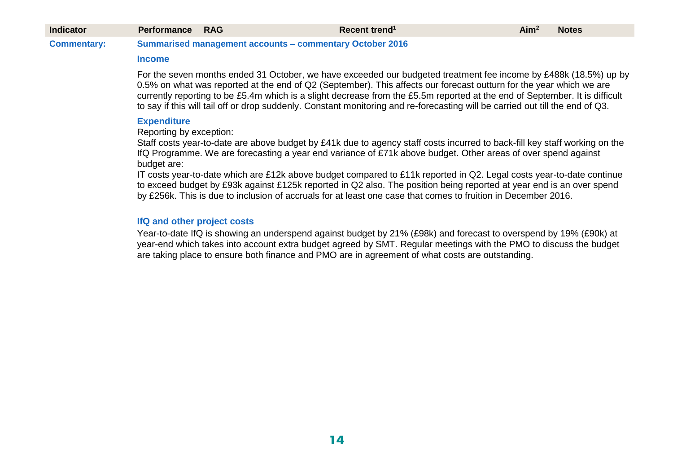| <b>Indicator</b>   | <b>Performance RAG</b> |                                                                 | Recent trend <sup>1</sup> | Aim <sup>2</sup> | Notes |
|--------------------|------------------------|-----------------------------------------------------------------|---------------------------|------------------|-------|
| <b>Commentary:</b> |                        | <b>Summarised management accounts - commentary October 2016</b> |                           |                  |       |

#### **Income**

For the seven months ended 31 October, we have exceeded our budgeted treatment fee income by £488k (18.5%) up by 0.5% on what was reported at the end of Q2 (September). This affects our forecast outturn for the year which we are currently reporting to be £5.4m which is a slight decrease from the £5.5m reported at the end of September. It is difficult to say if this will tail off or drop suddenly. Constant monitoring and re-forecasting will be carried out till the end of Q3.

#### **Expenditure**

Reporting by exception:

Staff costs year-to-date are above budget by £41k due to agency staff costs incurred to back-fill key staff working on the IfQ Programme. We are forecasting a year end variance of £71k above budget. Other areas of over spend against budget are:

IT costs year-to-date which are £12k above budget compared to £11k reported in Q2. Legal costs year-to-date continue to exceed budget by £93k against £125k reported in Q2 also. The position being reported at year end is an over spend by £256k. This is due to inclusion of accruals for at least one case that comes to fruition in December 2016.

#### **IfQ and other project costs**

Year-to-date IfQ is showing an underspend against budget by 21% (£98k) and forecast to overspend by 19% (£90k) at year-end which takes into account extra budget agreed by SMT. Regular meetings with the PMO to discuss the budget are taking place to ensure both finance and PMO are in agreement of what costs are outstanding.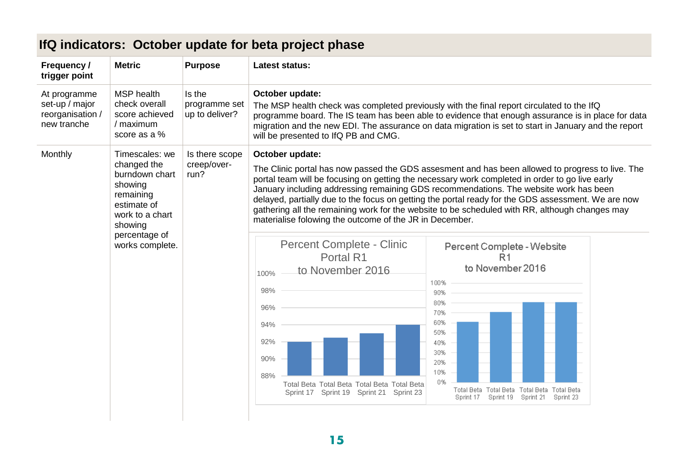| Frequency /<br>trigger point                                                                                                    | <b>Metric</b>                                                                     | <b>Purpose</b>                            | <b>Latest status:</b>                                                                                                                                                                                                                                                                                                                                             |                                                                                                                                                                                                                                                                                                                                                                                                                                                                                                     |  |  |  |  |
|---------------------------------------------------------------------------------------------------------------------------------|-----------------------------------------------------------------------------------|-------------------------------------------|-------------------------------------------------------------------------------------------------------------------------------------------------------------------------------------------------------------------------------------------------------------------------------------------------------------------------------------------------------------------|-----------------------------------------------------------------------------------------------------------------------------------------------------------------------------------------------------------------------------------------------------------------------------------------------------------------------------------------------------------------------------------------------------------------------------------------------------------------------------------------------------|--|--|--|--|
| At programme<br>set-up / major<br>reorganisation /<br>new tranche                                                               | <b>MSP</b> health<br>check overall<br>score achieved<br>/ maximum<br>score as a % | Is the<br>programme set<br>up to deliver? | October update:<br>The MSP health check was completed previously with the final report circulated to the IfQ<br>programme board. The IS team has been able to evidence that enough assurance is in place for data<br>migration and the new EDI. The assurance on data migration is set to start in January and the report<br>will be presented to IfQ PB and CMG. |                                                                                                                                                                                                                                                                                                                                                                                                                                                                                                     |  |  |  |  |
| Monthly<br>Timescales: we<br>changed the<br>burndown chart<br>showing<br>remaining<br>estimate of<br>work to a chart<br>showing |                                                                                   | Is there scope<br>creep/over-<br>run?     | October update:<br>materialise folowing the outcome of the JR in December.                                                                                                                                                                                                                                                                                        | The Clinic portal has now passed the GDS assesment and has been allowed to progress to live. The<br>portal team will be focusing on getting the necessary work completed in order to go live early<br>January including addressing remaining GDS recommendations. The website work has been<br>delayed, partially due to the focus on getting the portal ready for the GDS assessment. We are now<br>gathering all the remaining work for the website to be scheduled with RR, although changes may |  |  |  |  |
|                                                                                                                                 | percentage of<br>works complete.                                                  |                                           | Percent Complete - Clinic<br>Portal R1<br>to November 2016<br>100%<br>98%<br>96%<br>94%<br>92%<br>90%<br>88%<br>Total Beta Total Beta Total Beta Total Beta<br>Sprint 17 Sprint 19 Sprint 21 Sprint 23                                                                                                                                                            | Percent Complete - Website<br>R <sub>1</sub><br>to November 2016<br>100%<br>90%<br>80%<br>70%<br>60%<br>50%<br>40%<br>30%<br>20%<br>10%<br>0%<br>Total Beta Total Beta<br>Total Beta<br><b>Total Beta</b><br>Sprint 19<br>Sprint 23<br>Sprint 17<br>Sprint 21                                                                                                                                                                                                                                       |  |  |  |  |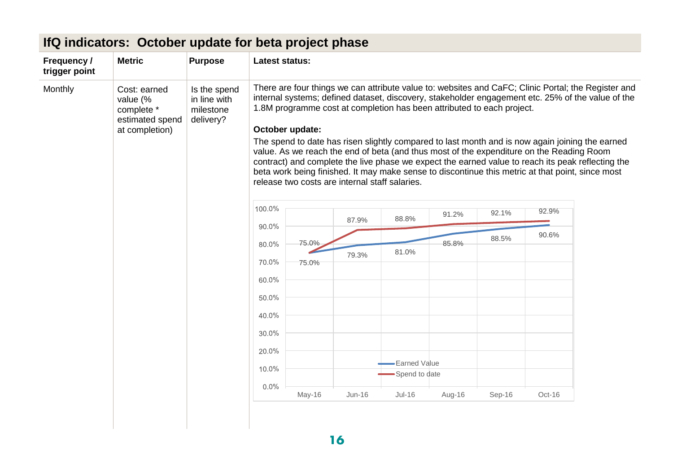| Frequency /<br>trigger point                                                           | <b>Metric</b> | <b>Purpose</b>                                         | <b>Latest status:</b> |       |                                                |                                                                        |       |       |                                                                                                                                                                                                                                                                                                                                                                                                                                                                                                                                                                                                                  |
|----------------------------------------------------------------------------------------|---------------|--------------------------------------------------------|-----------------------|-------|------------------------------------------------|------------------------------------------------------------------------|-------|-------|------------------------------------------------------------------------------------------------------------------------------------------------------------------------------------------------------------------------------------------------------------------------------------------------------------------------------------------------------------------------------------------------------------------------------------------------------------------------------------------------------------------------------------------------------------------------------------------------------------------|
| Monthly<br>Cost: earned<br>value (%<br>complete *<br>estimated spend<br>at completion) |               | Is the spend<br>in line with<br>milestone<br>delivery? | October update:       |       | release two costs are internal staff salaries. | 1.8M programme cost at completion has been attributed to each project. |       |       | There are four things we can attribute value to: websites and CaFC; Clinic Portal; the Register and<br>internal systems; defined dataset, discovery, stakeholder engagement etc. 25% of the value of the<br>The spend to date has risen slightly compared to last month and is now again joining the earned<br>value. As we reach the end of beta (and thus most of the expenditure on the Reading Room<br>contract) and complete the live phase we expect the earned value to reach its peak reflecting the<br>beta work being finished. It may make sense to discontinue this metric at that point, since most |
|                                                                                        |               | 100.0%                                                 |                       | 87.9% | 88.8%                                          | 91.2%                                                                  | 92.1% | 92.9% |                                                                                                                                                                                                                                                                                                                                                                                                                                                                                                                                                                                                                  |
|                                                                                        |               | 90.0%<br>80.0%                                         | 75.0%                 |       |                                                | 85.8%                                                                  | 88.5% | 90.6% |                                                                                                                                                                                                                                                                                                                                                                                                                                                                                                                                                                                                                  |
|                                                                                        |               |                                                        |                       | 79.3% | 81.0%                                          |                                                                        |       |       |                                                                                                                                                                                                                                                                                                                                                                                                                                                                                                                                                                                                                  |
|                                                                                        |               |                                                        | 70.0%                 | 75.0% |                                                |                                                                        |       |       |                                                                                                                                                                                                                                                                                                                                                                                                                                                                                                                                                                                                                  |
|                                                                                        |               |                                                        | 60.0%                 |       |                                                |                                                                        |       |       |                                                                                                                                                                                                                                                                                                                                                                                                                                                                                                                                                                                                                  |
|                                                                                        |               |                                                        | 50.0%                 |       |                                                |                                                                        |       |       |                                                                                                                                                                                                                                                                                                                                                                                                                                                                                                                                                                                                                  |
|                                                                                        |               |                                                        | 40.0%                 |       |                                                |                                                                        |       |       |                                                                                                                                                                                                                                                                                                                                                                                                                                                                                                                                                                                                                  |
|                                                                                        |               |                                                        | 30.0%                 |       |                                                |                                                                        |       |       |                                                                                                                                                                                                                                                                                                                                                                                                                                                                                                                                                                                                                  |
|                                                                                        |               |                                                        | 20.0%                 |       |                                                |                                                                        |       |       |                                                                                                                                                                                                                                                                                                                                                                                                                                                                                                                                                                                                                  |
|                                                                                        |               |                                                        |                       |       |                                                | <b>Earned Value</b>                                                    |       |       |                                                                                                                                                                                                                                                                                                                                                                                                                                                                                                                                                                                                                  |
|                                                                                        |               |                                                        |                       |       |                                                |                                                                        |       |       |                                                                                                                                                                                                                                                                                                                                                                                                                                                                                                                                                                                                                  |
|                                                                                        |               |                                                        | 10.0%<br>$0.0\%$      |       |                                                | Spend to date                                                          |       |       |                                                                                                                                                                                                                                                                                                                                                                                                                                                                                                                                                                                                                  |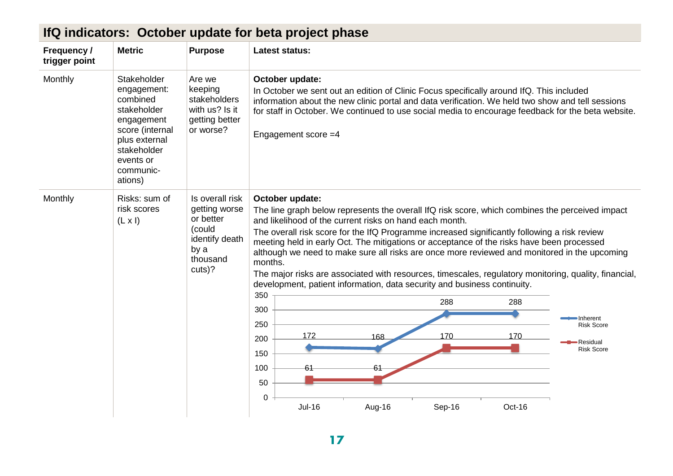| Frequency /<br>trigger point | <b>Metric</b>                                                                                                                                               | <b>Purpose</b>                                                                                          | <b>Latest status:</b>                                                                                                                                                                                                                                                                                                                                                                                                                                                                                                                                                                                                                                                                                                                                                                                                                   |
|------------------------------|-------------------------------------------------------------------------------------------------------------------------------------------------------------|---------------------------------------------------------------------------------------------------------|-----------------------------------------------------------------------------------------------------------------------------------------------------------------------------------------------------------------------------------------------------------------------------------------------------------------------------------------------------------------------------------------------------------------------------------------------------------------------------------------------------------------------------------------------------------------------------------------------------------------------------------------------------------------------------------------------------------------------------------------------------------------------------------------------------------------------------------------|
| Monthly                      | Stakeholder<br>engagement:<br>combined<br>stakeholder<br>engagement<br>score (internal<br>plus external<br>stakeholder<br>events or<br>communic-<br>ations) | Are we<br>keeping<br>stakeholders<br>with us? Is it<br>getting better<br>or worse?                      | October update:<br>In October we sent out an edition of Clinic Focus specifically around IfQ. This included<br>information about the new clinic portal and data verification. We held two show and tell sessions<br>for staff in October. We continued to use social media to encourage feedback for the beta website.<br>Engagement score = 4                                                                                                                                                                                                                                                                                                                                                                                                                                                                                          |
| Monthly                      | Risks: sum of<br>risk scores<br>$(L \times I)$                                                                                                              | Is overall risk<br>getting worse<br>or better<br>(could<br>identify death<br>by a<br>thousand<br>cuts)? | October update:<br>The line graph below represents the overall IfQ risk score, which combines the perceived impact<br>and likelihood of the current risks on hand each month.<br>The overall risk score for the IfQ Programme increased significantly following a risk review<br>meeting held in early Oct. The mitigations or acceptance of the risks have been processed<br>although we need to make sure all risks are once more reviewed and monitored in the upcoming<br>months.<br>The major risks are associated with resources, timescales, regulatory monitoring, quality, financial,<br>development, patient information, data security and business continuity.<br>350<br>288<br>288<br>300<br>-Inherent<br>250<br><b>Risk Score</b><br>172<br>170<br>170<br>168<br>200<br>Residual<br><b>Risk Score</b><br>150<br>100<br>61 |
|                              |                                                                                                                                                             |                                                                                                         | 50<br>0<br><b>Jul-16</b><br>Aug-16<br>Sep-16<br>Oct-16                                                                                                                                                                                                                                                                                                                                                                                                                                                                                                                                                                                                                                                                                                                                                                                  |